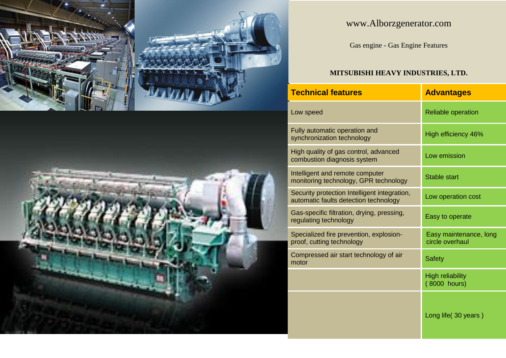



## www.Alborzgenerator.com

Gas engine - Gas Engine Features

## **MITSUBISHI HEAVY INDUSTRIES, LTD.**

| <b>Technical features</b>                                                             | <b>Advantages</b>                         |  |  |
|---------------------------------------------------------------------------------------|-------------------------------------------|--|--|
| Low speed                                                                             | <b>Reliable operation</b>                 |  |  |
| Fully automatic operation and<br>synchronization technology                           | High efficiency 46%                       |  |  |
| High quality of gas control, advanced<br>combustion diagnosis system                  | Low emission                              |  |  |
| Intelligent and remote computer<br>monitoring technology, GPR technology              | Stable start                              |  |  |
| Security protection Intelligent integration,<br>automatic faults detection technology | Low operation cost                        |  |  |
| Gas-specific filtration, drying, pressing,<br>regulating technology                   | Easy to operate                           |  |  |
| Specialized fire prevention, explosion-<br>proof, cutting technology                  | Easy maintenance, long<br>circle overhaul |  |  |
| Compressed air start technology of air<br>motor                                       | <b>Safety</b>                             |  |  |
|                                                                                       | <b>High reliability</b><br>(8000 hours)   |  |  |
|                                                                                       | Long life (30 years)                      |  |  |